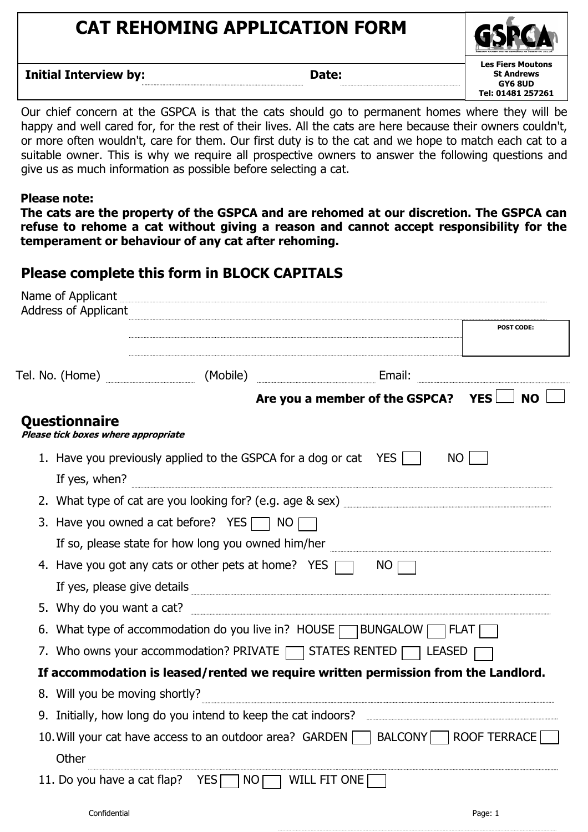## **CAT REHOMING APPLICATION FORM**

**Les Fiers Moutons St Andrews GY6 8UD Tel: 01481 257261**

**Initial Interview by: Date: Date:** 

Our chief concern at the GSPCA is that the cats should go to permanent homes where they will be happy and well cared for, for the rest of their lives. All the cats are here because their owners couldn't, or more often wouldn't, care for them. Our first duty is to the cat and we hope to match each cat to a suitable owner. This is why we require all prospective owners to answer the following questions and give us as much information as possible before selecting a cat.

## **Please note:**

**The cats are the property of the GSPCA and are rehomed at our discretion. The GSPCA can refuse to rehome a cat without giving a reason and cannot accept responsibility for the temperament or behaviour of any cat after rehoming.** 

## **Please complete this form in BLOCK CAPITALS**

|               |                                                                                           | <b>POST CODE:</b>                                                                                                        |  |  |  |
|---------------|-------------------------------------------------------------------------------------------|--------------------------------------------------------------------------------------------------------------------------|--|--|--|
|               |                                                                                           | <b>Email:</b> Email:                                                                                                     |  |  |  |
|               |                                                                                           | Are you a member of the GSPCA?<br><b>YES</b><br><b>NO</b>                                                                |  |  |  |
| Questionnaire | Please tick boxes where appropriate                                                       |                                                                                                                          |  |  |  |
|               | 1. Have you previously applied to the GSPCA for a dog or cat $YES \Box$<br>If yes, when?  | <b>NO</b>                                                                                                                |  |  |  |
|               |                                                                                           |                                                                                                                          |  |  |  |
|               | 3. Have you owned a cat before? YES $\Box$ NO [                                           |                                                                                                                          |  |  |  |
|               | If so, please state for how long you owned him/her                                        |                                                                                                                          |  |  |  |
|               | 4. Have you got any cats or other pets at home? YES $\Box$<br>If yes, please give details | NO                                                                                                                       |  |  |  |
|               |                                                                                           |                                                                                                                          |  |  |  |
|               | 6. What type of accommodation do you live in? HOUSE SUNGALOW SPLAT                        |                                                                                                                          |  |  |  |
|               | 7. Who owns your accommodation? PRIVATE TRIVATE STATES RENTED                             |                                                                                                                          |  |  |  |
|               |                                                                                           | If accommodation is leased/rented we require written permission from the Landlord.                                       |  |  |  |
|               | 8. Will you be moving shortly?                                                            |                                                                                                                          |  |  |  |
|               |                                                                                           | 9. Initially, how long do you intend to keep the cat indoors? <b>Example 20</b> increasing the state in the cat indoors? |  |  |  |
| Other         |                                                                                           | 10. Will your cat have access to an outdoor area? GARDEN   BALCONY   ROOF TERRACE                                        |  |  |  |